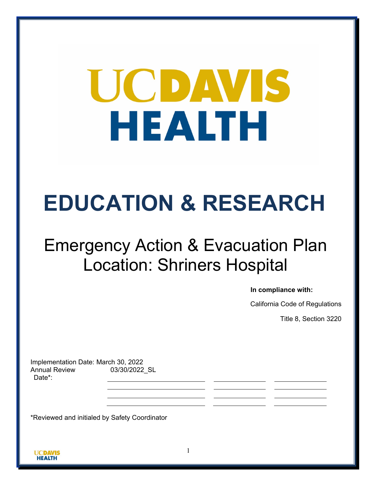# UCDAVIS HEALTH

## **EDUCATION & RESEARCH**

## Emergency Action & Evacuation Plan Location: Shriners Hospital

**In compliance with:**

California Code of Regulations

Title 8, Section 3220

Implementation Date: March 30, 2022 Annual Review Date\*: 03/30/2022\_SL

\*Reviewed and initialed by Safety Coordinator

1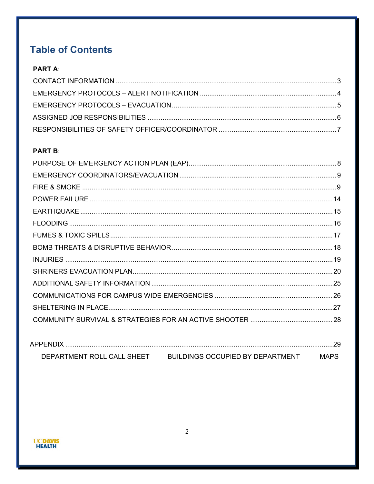## **Table of Contents**

#### **PART A:**

#### **PART B:**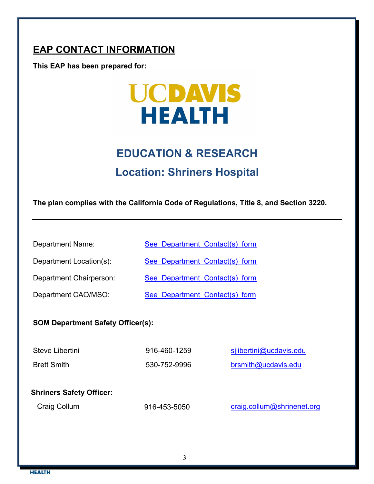## **EAP CONTACT INFORMATION**

**This EAP has been prepared for:** 



## **EDUCATION & RESEARCH Location: Shriners Hospital**

**The plan complies with the California Code of Regulations, Title 8, and Section 3220.**

Department Name: [See Department](https://health.ucdavis.edu/medresearch/safety/Documents/Department-Contacts-08.10.2021.pdf) Contact(s) form

Department Location(s): [See Department](https://health.ucdavis.edu/medresearch/safety/Documents/Department-Contacts-08.10.2021.pdf) Contact(s) form

Department Chairperson: [See Department Contact\(s\)](https://health.ucdavis.edu/medresearch/safety/Documents/Department-Contacts-08.10.2021.pdf) form

Department CAO/MSO: [See Department Contact\(s\) form](https://health.ucdavis.edu/medresearch/safety/Documents/Department-Contacts-08.10.2021.pdf)

## **SOM Department Safety Officer(s):**

| Steve Libertini    | 916-460-1259 | silibertini@ucdavis.edu |
|--------------------|--------------|-------------------------|
| <b>Brett Smith</b> | 530-752-9996 | brsmith@ucdavis.edu     |

#### **Shriners Safety Officer:**

Craig Collum

916-453-5050

[craig.collum@shrinenet.org](mailto:lviscardi@shrinenet.org)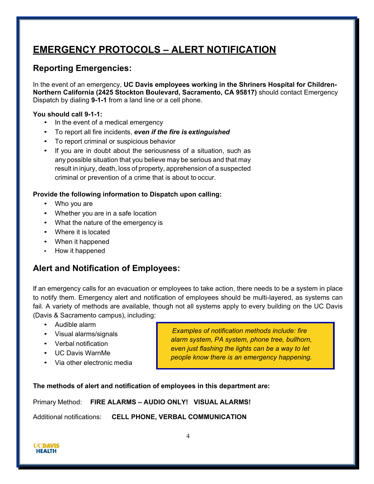## <span id="page-3-0"></span>**EMERGENCY PROTOCOLS – ALERT NOTIFICATION**

#### **Reporting Emergencies:**

In the event of an emergency, **UC Davis employees working in the Shriners Hospital for Children-Northern California (2425 Stockton Boulevard, Sacramento, CA 95817)** should contact Emergency Dispatch by dialing **9-1-1** from a land line or a cell phone.

#### **You should call 9-1-1:**

- In the event of a medical emergency
- To report all fire incidents, *even if the fire is extinguished*
- To report criminal or suspicious behavior
- If you are in doubt about the seriousness of a situation, such as any possible situation that you believe may be serious and that may result in injury, death, loss of property, apprehension of a suspected criminal or prevention of a crime that is about to occur.

#### **Provide the following information to Dispatch upon calling:**

- Who you are
- Whether you are in a safe location
- What the nature of the emergency is
- Where it is located
- When it happened
- How it happened

#### **Alert and Notification of Employees:**

If an emergency calls for an evacuation or employees to take action, there needs to be a system in place to notify them. Emergency alert and notification of employees should be multi-layered, as systems can fail. A variety of methods are available, though not all systems apply to every building on the UC Davis (Davis & Sacramento campus), including:

- Audible alarm
- Visual alarms/signals
- Verbal notification
- UC Davis WarnMe
- Via other electronic media

*Examples of notification methods include: fire alarm system, PA system, phone tree, bullhorn, even just flashing the lights can be a way to let people know there is an emergency happening.*

**The methods of alert and notification of employees in this department are:**

Primary Method: **FIRE ALARMS – AUDIO ONLY! VISUAL ALARMS!**

Additional notifications: **CELL PHONE, VERBAL COMMUNICATION**

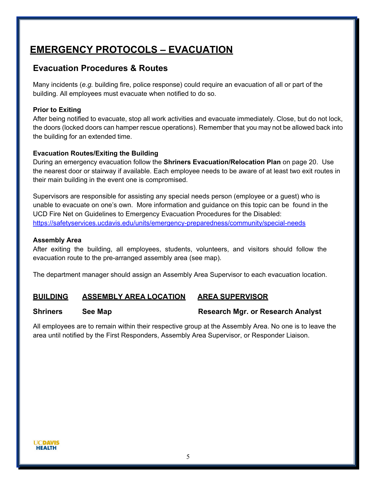## <span id="page-4-0"></span>**EMERGENCY PROTOCOLS – EVACUATION**

#### **Evacuation Procedures & Routes**

Many incidents (*e.g.* building fire, police response) could require an evacuation of all or part of the building. All employees must evacuate when notified to do so.

#### **Prior to Exiting**

After being notified to evacuate, stop all work activities and evacuate immediately. Close, but do not lock, the doors (locked doors can hamper rescue operations). Remember that you may not be allowed back into the building for an extended time.

#### **Evacuation Routes/Exiting the Building**

During an emergency evacuation follow the **Shriners Evacuation/Relocation Plan** on page 20. Use the nearest door or stairway if available. Each employee needs to be aware of at least two exit routes in their main building in the event one is compromised.

Supervisors are responsible for assisting any special needs person (employee or a guest) who is unable to evacuate on one's own. More information and guidance on this topic can be found in the UCD Fire Net on Guidelines to Emergency Evacuation Procedures for the Disabled: <https://safetyservices.ucdavis.edu/units/emergency-preparedness/community/special-needs>

#### **Assembly Area**

After exiting the building, all employees, students, volunteers, and visitors should follow the evacuation route to the pre-arranged assembly area (see map).

The department manager should assign an Assembly Area Supervisor to each evacuation location.

#### **BUILDING ASSEMBLY AREA LOCATION AREA SUPERVISOR**

#### **Shriners See Map Supersection Constraining Research Mgr. or Research Analyst**

All employees are to remain within their respective group at the Assembly Area. No one is to leave the area until notified by the First Responders, Assembly Area Supervisor, or Responder Liaison.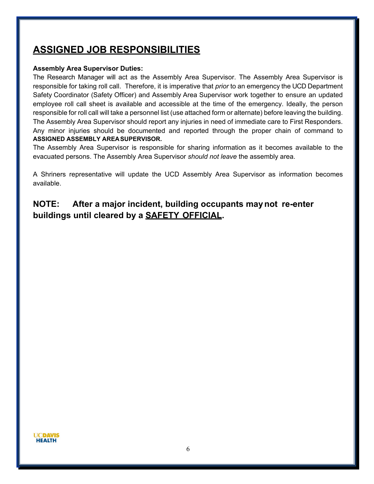## <span id="page-5-0"></span>**ASSIGNED JOB RESPONSIBILITIES**

#### **Assembly Area Supervisor Duties:**

The Research Manager will act as the Assembly Area Supervisor. The Assembly Area Supervisor is responsible for taking roll call. Therefore, it is imperative that *prior* to an emergency the UCD Department Safety Coordinator (Safety Officer) and Assembly Area Supervisor work together to ensure an updated employee roll call sheet is available and accessible at the time of the emergency. Ideally, the person responsible for roll call will take a personnel list (use attached form or alternate) before leaving the building. The Assembly Area Supervisor should report any injuries in need of immediate care to First Responders. Any minor injuries should be documented and reported through the proper chain of command to **ASSIGNED ASSEMBLY AREASUPERVISOR.**

The Assembly Area Supervisor is responsible for sharing information as it becomes available to the evacuated persons. The Assembly Area Supervisor *should not leave* the assembly area.

A Shriners representative will update the UCD Assembly Area Supervisor as information becomes available.

### **NOTE: After a major incident, building occupants maynot re-enter buildings until cleared by a SAFETY OFFICIAL.**

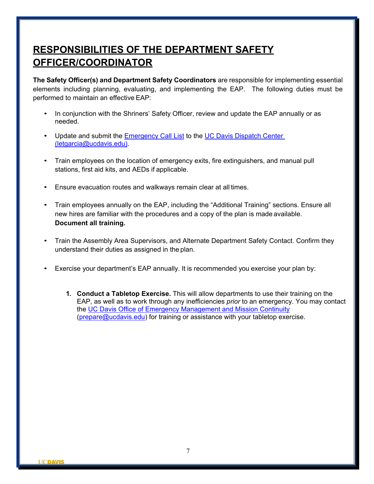## **RESPONSIBILITIES OF THE DEPARTMENT SAFETY OFFICER/COORDINATOR**

**The Safety Officer(s) and Department Safety Coordinators** are responsible for implementing essential elements including planning, evaluating, and implementing the EAP. The following duties must be performed to maintain an effective EAP:

- In conjunction with the Shriners' Safety Officer, review and update the EAP annually or as needed.
- Update and submit the [Emergency Call List](https://police.ucdavis.edu/sites/g/files/dgvnsk9526/files/inline-files/Emergency_Call_List_Form_0.pdf) to the [UC Davis Dispatch Center](mailto:letgarcia@ucdavis.edu) (letgarcia@ucdavis.edu).
- Train employees on the location of emergency exits, fire extinguishers, and manual pull stations, first aid kits, and AEDs if applicable.
- Ensure evacuation routes and walkways remain clear at all times.
- Train employees annually on the EAP, including the "Additional Training" sections. Ensure all new hires are familiar with the procedures and a copy of the plan is made available. **Document all training.**
- Train the Assembly Area Supervisors, and Alternate Department Safety Contact. Confirm they understand their duties as assigned in the plan.
- Exercise your department's EAP annually. It is recommended you exercise your plan by:
	- **1. Conduct a Tabletop Exercise.** This will allow departments to use their training on the EAP, as well as to work through any inefficiencies *prior* to an emergency. You may contact the [UC Davis Office of Emergency Management and Mission Continuity](mailto:prepare@ucdavis.edu) [\(prepare@ucdavis.edu\)](mailto:prepare@ucdavis.edu) for training or assistance with your tabletop exercise.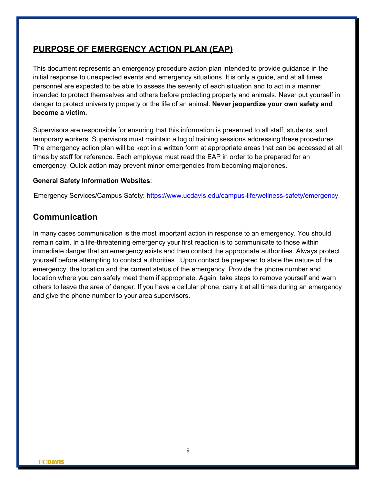#### <span id="page-7-0"></span>**PURPOSE OF EMERGENCY ACTION PLAN (EAP)**

This document represents an emergency procedure action plan intended to provide guidance in the initial response to unexpected events and emergency situations. It is only a guide, and at all times personnel are expected to be able to assess the severity of each situation and to act in a manner intended to protect themselves and others before protecting property and animals. Never put yourself in danger to protect university property or the life of an animal. **Never jeopardize your own safety and become a victim.**

Supervisors are responsible for ensuring that this information is presented to all staff, students, and temporary workers. Supervisors must maintain a log of training sessions addressing these procedures. The emergency action plan will be kept in a written form at appropriate areas that can be accessed at all times by staff for reference. Each employee must read the EAP in order to be prepared for an emergency. Quick action may prevent minor emergencies from becoming major ones.

#### **General Safety Information Websites**:

Emergency Services/Campus Safety:<https://www.ucdavis.edu/campus-life/wellness-safety/emergency>

#### **Communication**

In many cases communication is the most important action in response to an emergency. You should remain calm. In a life-threatening emergency your first reaction is to communicate to those within immediate danger that an emergency exists and then contact the appropriate authorities. Always protect yourself before attempting to contact authorities. Upon contact be prepared to state the nature of the emergency, the location and the current status of the emergency. Provide the phone number and location where you can safely meet them if appropriate. Again, take steps to remove yourself and warn others to leave the area of danger. If you have a cellular phone, carry it at all times during an emergency and give the phone number to your area supervisors.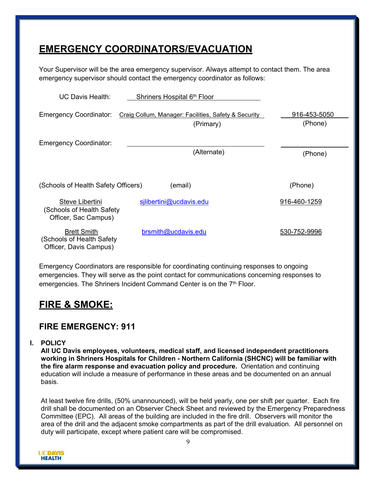## <span id="page-8-0"></span>**EMERGENCY COORDINATORS/EVACUATION**

Your Supervisor will be the area emergency supervisor. Always attempt to contact them. The area emergency supervisor should contact the emergency coordinator as follows:

| <b>UC Davis Health:</b>                                                  | Shriners Hospital 6th Floor                                       |                         |
|--------------------------------------------------------------------------|-------------------------------------------------------------------|-------------------------|
| <b>Emergency Coordinator:</b>                                            | Craig Collum, Manager: Facilities, Safety & Security<br>(Primary) | 916-453-5050<br>(Phone) |
| <b>Emergency Coordinator:</b>                                            |                                                                   |                         |
|                                                                          | (Alternate)                                                       | (Phone)                 |
| (Schools of Health Safety Officers)                                      | (email)                                                           | (Phone)                 |
| Steve Libertini<br>(Schools of Health Safety<br>Officer, Sac Campus)     | silibertini@ucdavis.edu                                           | 916-460-1259            |
| <b>Brett Smith</b><br>Schools of Health Safety<br>Officer, Davis Campus) | brsmith@ucdavis.edu                                               | 530-752-9996            |

Emergency Coordinators are responsible for coordinating continuing responses to ongoing emergencies. They will serve as the point contact for communications concerning responses to emergencies. The Shriners Incident Command Center is on the 7<sup>th</sup> Floor.

## <span id="page-8-1"></span>**FIRE & SMOKE:**

#### **FIRE EMERGENCY: 911**

**I. POLICY**

**All UC Davis employees, volunteers, medical staff, and licensed independent practitioners working in Shriners Hospitals for Children - Northern California (SHCNC) will be familiar with the fire alarm response and evacuation policy and procedure.** Orientation and continuing education will include a measure of performance in these areas and be documented on an annual basis.

At least twelve fire drills, (50% unannounced), will be held yearly, one per shift per quarter. Each fire drill shall be documented on an Observer Check Sheet and reviewed by the Emergency Preparedness Committee (EPC). All areas of the building are included in the fire drill. Observers will monitor the area of the drill and the adjacent smoke compartments as part of the drill evaluation. All personnel on duty will participate, except where patient care will be compromised.

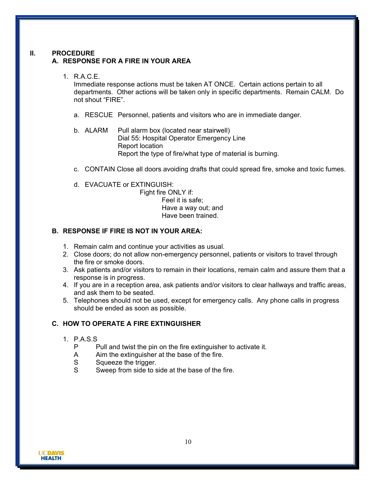#### **II. PROCEDURE A. RESPONSE FOR A FIRE IN YOUR AREA**

#### 1. R.A.C.E.

Immediate response actions must be taken AT ONCE. Certain actions pertain to all departments. Other actions will be taken only in specific departments. Remain CALM. Do not shout "FIRE".

- a. RESCUE Personnel, patients and visitors who are in immediate danger.
- b. ALARM Pull alarm box (located near stairwell) Dial 55: Hospital Operator Emergency Line Report location Report the type of fire/what type of material is burning.
- c. CONTAIN Close all doors avoiding drafts that could spread fire, smoke and toxic fumes.
- d. EVACUATE or EXTINGUISH:

Fight fire ONLY if: Feel it is safe; Have a way out; and Have been trained.

#### **B. RESPONSE IF FIRE IS NOT IN YOUR AREA:**

- 1. Remain calm and continue your activities as usual.
- 2. Close doors; do not allow non-emergency personnel, patients or visitors to travel through the fire or smoke doors.
- 3. Ask patients and/or visitors to remain in their locations, remain calm and assure them that a response is in progress.
- 4. If you are in a reception area, ask patients and/or visitors to clear hallways and traffic areas, and ask them to be seated.
- 5. Telephones should not be used, except for emergency calls. Any phone calls in progress should be ended as soon as possible.

#### **C. HOW TO OPERATE A FIRE EXTINGUISHER**

- 1. P.A.S.S
	- P Pull and twist the pin on the fire extinguisher to activate it.
	- A Aim the extinguisher at the base of the fire.
	- S Squeeze the trigger.<br>S Sweep from side to s
	- Sweep from side to side at the base of the fire.

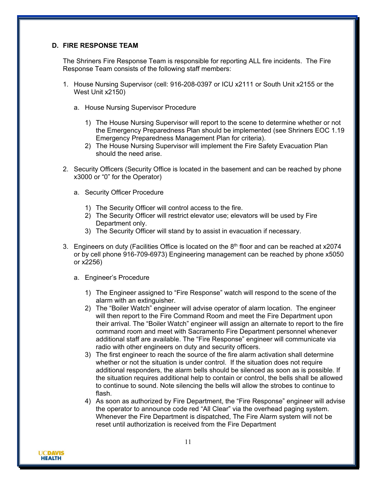#### **D. FIRE RESPONSE TEAM**

The Shriners Fire Response Team is responsible for reporting ALL fire incidents. The Fire Response Team consists of the following staff members:

- 1. House Nursing Supervisor (cell: 916-208-0397 or ICU x2111 or South Unit x2155 or the West Unit x2150)
	- a. House Nursing Supervisor Procedure
		- 1) The House Nursing Supervisor will report to the scene to determine whether or not the Emergency Preparedness Plan should be implemented (see Shriners EOC 1.19 Emergency Preparedness Management Plan for criteria).
		- 2) The House Nursing Supervisor will implement the Fire Safety Evacuation Plan should the need arise.
- 2. Security Officers (Security Office is located in the basement and can be reached by phone x3000 or "0" for the Operator)
	- a. Security Officer Procedure
		- 1) The Security Officer will control access to the fire.
		- 2) The Security Officer will restrict elevator use; elevators will be used by Fire Department only.
		- 3) The Security Officer will stand by to assist in evacuation if necessary.
- 3. Engineers on duty (Facilities Office is located on the  $8<sup>th</sup>$  floor and can be reached at x2074 or by cell phone 916-709-6973) Engineering management can be reached by phone x5050 or x2256)
	- a. Engineer's Procedure
		- 1) The Engineer assigned to "Fire Response" watch will respond to the scene of the alarm with an extinguisher.
		- 2) The "Boiler Watch" engineer will advise operator of alarm location. The engineer will then report to the Fire Command Room and meet the Fire Department upon their arrival. The "Boiler Watch" engineer will assign an alternate to report to the fire command room and meet with Sacramento Fire Department personnel whenever additional staff are available. The "Fire Response" engineer will communicate via radio with other engineers on duty and security officers.
		- 3) The first engineer to reach the source of the fire alarm activation shall determine whether or not the situation is under control. If the situation does not require additional responders, the alarm bells should be silenced as soon as is possible. If the situation requires additional help to contain or control, the bells shall be allowed to continue to sound. Note silencing the bells will allow the strobes to continue to flash.
		- 4) As soon as authorized by Fire Department, the "Fire Response" engineer will advise the operator to announce code red "All Clear" via the overhead paging system. Whenever the Fire Department is dispatched, The Fire Alarm system will not be reset until authorization is received from the Fire Department

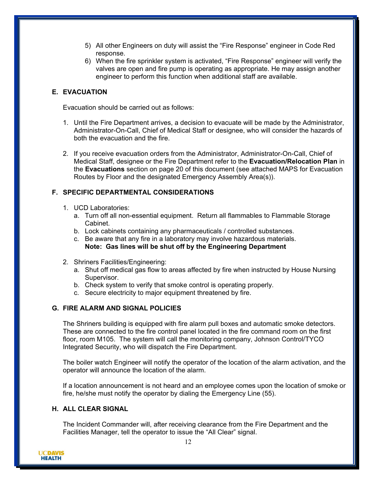- 5) All other Engineers on duty will assist the "Fire Response" engineer in Code Red response.
- 6) When the fire sprinkler system is activated, "Fire Response" engineer will verify the valves are open and fire pump is operating as appropriate. He may assign another engineer to perform this function when additional staff are available.

#### **E. EVACUATION**

Evacuation should be carried out as follows:

- 1. Until the Fire Department arrives, a decision to evacuate will be made by the Administrator, Administrator-On-Call, Chief of Medical Staff or designee, who will consider the hazards of both the evacuation and the fire.
- 2. If you receive evacuation orders from the Administrator, Administrator-On-Call, Chief of Medical Staff, designee or the Fire Department refer to the **Evacuation/Relocation Plan** in the **Evacuations** section on page 20 of this document (see attached MAPS for Evacuation Routes by Floor and the designated Emergency Assembly Area(s)).

#### **F. SPECIFIC DEPARTMENTAL CONSIDERATIONS**

- 1. UCD Laboratories:
	- a. Turn off all non-essential equipment. Return all flammables to Flammable Storage Cabinet.
	- b. Lock cabinets containing any pharmaceuticals / controlled substances.
	- c. Be aware that any fire in a laboratory may involve hazardous materials. **Note: Gas lines will be shut off by the Engineering Department**
- 2. Shriners Facilities/Engineering:
	- a. Shut off medical gas flow to areas affected by fire when instructed by House Nursing Supervisor.
	- b. Check system to verify that smoke control is operating properly.
	- c. Secure electricity to major equipment threatened by fire.

#### **G. FIRE ALARM AND SIGNAL POLICIES**

The Shriners building is equipped with fire alarm pull boxes and automatic smoke detectors. These are connected to the fire control panel located in the fire command room on the first floor, room M105. The system will call the monitoring company, Johnson Control/TYCO Integrated Security, who will dispatch the Fire Department.

The boiler watch Engineer will notify the operator of the location of the alarm activation, and the operator will announce the location of the alarm.

If a location announcement is not heard and an employee comes upon the location of smoke or fire, he/she must notify the operator by dialing the Emergency Line (55).

#### **H. ALL CLEAR SIGNAL**

The Incident Commander will, after receiving clearance from the Fire Department and the Facilities Manager, tell the operator to issue the "All Clear" signal.

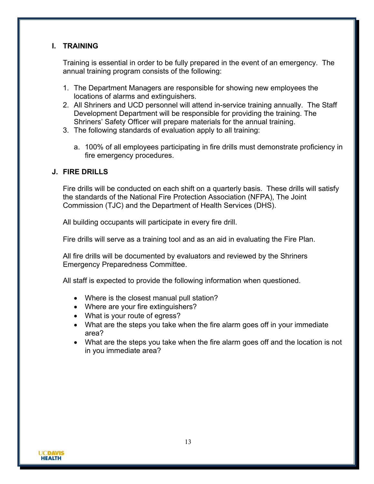#### **I. TRAINING**

Training is essential in order to be fully prepared in the event of an emergency. The annual training program consists of the following:

- 1. The Department Managers are responsible for showing new employees the locations of alarms and extinguishers.
- 2. All Shriners and UCD personnel will attend in-service training annually. The Staff Development Department will be responsible for providing the training. The Shriners' Safety Officer will prepare materials for the annual training.
- 3. The following standards of evaluation apply to all training:
	- a. 100% of all employees participating in fire drills must demonstrate proficiency in fire emergency procedures.

#### **J. FIRE DRILLS**

Fire drills will be conducted on each shift on a quarterly basis. These drills will satisfy the standards of the National Fire Protection Association (NFPA), The Joint Commission (TJC) and the Department of Health Services (DHS).

All building occupants will participate in every fire drill.

Fire drills will serve as a training tool and as an aid in evaluating the Fire Plan.

All fire drills will be documented by evaluators and reviewed by the Shriners Emergency Preparedness Committee.

All staff is expected to provide the following information when questioned.

- Where is the closest manual pull station?
- Where are your fire extinguishers?
- What is your route of egress?
- What are the steps you take when the fire alarm goes off in your immediate area?
- What are the steps you take when the fire alarm goes off and the location is not in you immediate area?

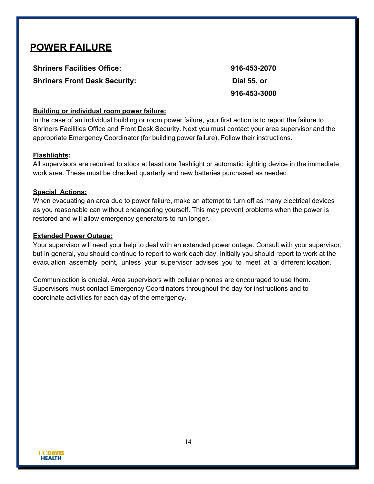## <span id="page-13-0"></span>**POWER FAILURE**

**Shriners Facilities Office: 916-453-2070 Shriners Front Desk Security: Dial 55, or**

**916-453-3000**

#### **Building or individual room power failure:**

In the case of an individual building or room power failure, your first action is to report the failure to Shriners Facilities Office and Front Desk Security. Next you must contact your area supervisor and the appropriate Emergency Coordinator (for building power failure). Follow their instructions.

#### **Flashlights:**

All supervisors are required to stock at least one flashlight or automatic lighting device in the immediate work area. These must be checked quarterly and new batteries purchased as needed.

#### **Special Actions:**

When evacuating an area due to power failure, make an attempt to turn off as many electrical devices as you reasonable can without endangering yourself. This may prevent problems when the power is restored and will allow emergency generators to run longer.

#### **Extended Power Outage:**

Your supervisor will need your help to deal with an extended power outage. Consult with your supervisor, but in general, you should continue to report to work each day. Initially you should report to work at the evacuation assembly point, unless your supervisor advises you to meet at a different location.

Communication is crucial. Area supervisors with cellular phones are encouraged to use them. Supervisors must contact Emergency Coordinators throughout the day for instructions and to coordinate activities for each day of the emergency.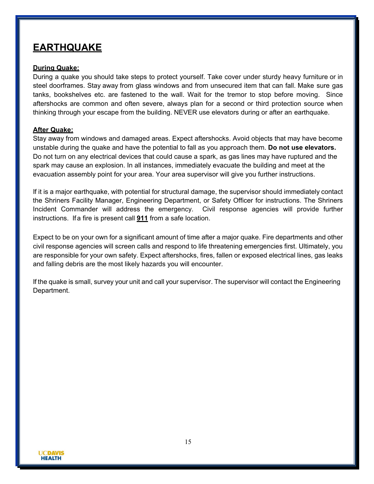## <span id="page-14-0"></span>**EARTHQUAKE**

#### **During Quake:**

During a quake you should take steps to protect yourself. Take cover under sturdy heavy furniture or in steel doorframes. Stay away from glass windows and from unsecured item that can fall. Make sure gas tanks, bookshelves etc. are fastened to the wall. Wait for the tremor to stop before moving. Since aftershocks are common and often severe, always plan for a second or third protection source when thinking through your escape from the building. NEVER use elevators during or after an earthquake.

#### **After Quake:**

Stay away from windows and damaged areas. Expect aftershocks. Avoid objects that may have become unstable during the quake and have the potential to fall as you approach them. **Do not use elevators.**  Do not turn on any electrical devices that could cause a spark, as gas lines may have ruptured and the spark may cause an explosion. In all instances, immediately evacuate the building and meet at the evacuation assembly point for your area. Your area supervisor will give you further instructions.

If it is a major earthquake, with potential for structural damage, the supervisor should immediately contact the Shriners Facility Manager, Engineering Department, or Safety Officer for instructions. The Shriners Incident Commander will address the emergency. Civil response agencies will provide further instructions. If a fire is present call **911** from a safe location.

Expect to be on your own for a significant amount of time after a major quake. Fire departments and other civil response agencies will screen calls and respond to life threatening emergencies first. Ultimately, you are responsible for your own safety. Expect aftershocks, fires, fallen or exposed electrical lines, gas leaks and falling debris are the most likely hazards you will encounter.

If the quake is small, survey your unit and call your supervisor. The supervisor will contact the Engineering Department.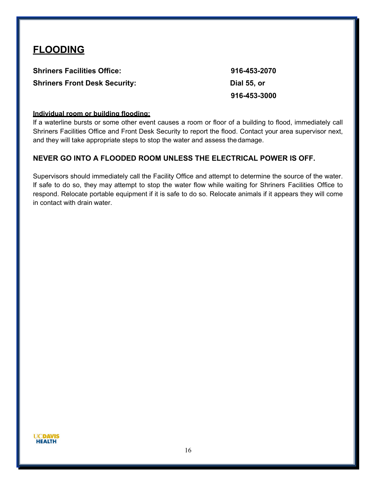## <span id="page-15-0"></span>**FLOODING**

**Shriners Facilities Office: 916-453-2070 Shriners Front Desk Security: Dial 55, or**

**916-453-3000**

#### **Individual room or building flooding:**

If a waterline bursts or some other event causes a room or floor of a building to flood, immediately call Shriners Facilities Office and Front Desk Security to report the flood. Contact your area supervisor next, and they will take appropriate steps to stop the water and assess the damage.

#### **NEVER GO INTO A FLOODED ROOM UNLESS THE ELECTRICAL POWER IS OFF.**

Supervisors should immediately call the Facility Office and attempt to determine the source of the water. If safe to do so, they may attempt to stop the water flow while waiting for Shriners Facilities Office to respond. Relocate portable equipment if it is safe to do so. Relocate animals if it appears they will come in contact with drain water.

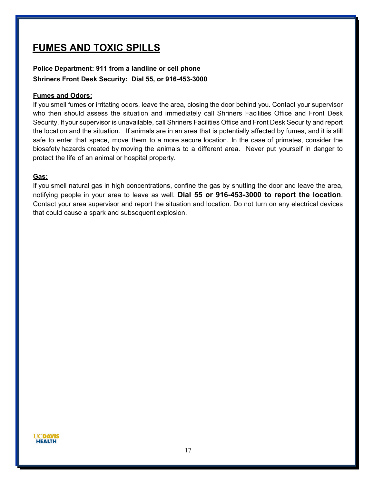## **FUMES AND TOXIC SPILLS**

#### **Police Department: 911 from a landline or cell phone Shriners Front Desk Security: Dial 55, or 916-453-3000**

#### **Fumes and Odors:**

If you smell fumes or irritating odors, leave the area, closing the door behind you. Contact your supervisor who then should assess the situation and immediately call Shriners Facilities Office and Front Desk Security. If your supervisor is unavailable, call Shriners Facilities Office and Front Desk Security and report the location and the situation. If animals are in an area that is potentially affected by fumes, and it is still safe to enter that space, move them to a more secure location. In the case of primates, consider the biosafety hazards created by moving the animals to a different area. Never put yourself in danger to protect the life of an animal or hospital property.

#### **Gas:**

If you smell natural gas in high concentrations, confine the gas by shutting the door and leave the area, notifying people in your area to leave as well. **Dial 55 or 916-453-3000 to report the location**. Contact your area supervisor and report the situation and location. Do not turn on any electrical devices that could cause a spark and subsequent explosion.

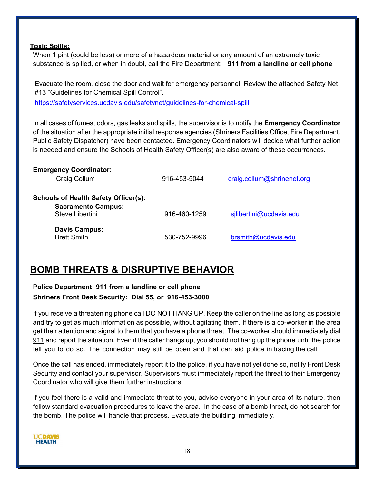#### **Toxic Spills:**

When 1 pint (could be less) or more of a hazardous material or any amount of an extremely toxic substance is spilled, or when in doubt, call the Fire Department: **911 from a landline or cell phone**

Evacuate the room, close the door and wait for emergency personnel. Review the attached Safety Net #13 "Guidelines for Chemical Spill Control". <https://safetyservices.ucdavis.edu/safetynet/guidelines-for-chemical-spill>

In all cases of fumes, odors, gas leaks and spills, the supervisor is to notify the **Emergency Coordinator** of the situation after the appropriate initial response agencies (Shriners Facilities Office, Fire Department, Public Safety Dispatcher) have been contacted. Emergency Coordinators will decide what further action is needed and ensure the Schools of Health Safety Officer(s) are also aware of these occurrences.

| <b>Emergency Coordinator:</b><br>Craig Collum                                               | 916-453-5044 | craig.collum@shrinenet.org |
|---------------------------------------------------------------------------------------------|--------------|----------------------------|
| <b>Schools of Health Safety Officer(s):</b><br><b>Sacramento Campus:</b><br>Steve Libertini | 916-460-1259 | sjlibertini@ucdavis.edu    |
| <b>Davis Campus:</b><br><b>Brett Smith</b>                                                  | 530-752-9996 | brsmith@ucdavis.edu        |

## <span id="page-17-0"></span>**BOMB THREATS & DISRUPTIVE BEHAVIOR**

#### **Police Department: 911 from a landline or cell phone Shriners Front Desk Security: Dial 55, or 916-453-3000**

If you receive a threatening phone call DO NOT HANG UP. Keep the caller on the line as long as possible and try to get as much information as possible, without agitating them. If there is a co-worker in the area get their attention and signal to them that you have a phone threat. The co-worker should immediately dial 911 and report the situation. Even if the caller hangs up, you should not hang up the phone until the police tell you to do so. The connection may still be open and that can aid police in tracing the call.

Once the call has ended, immediately report it to the police, if you have not yet done so, notify Front Desk Security and contact your supervisor. Supervisors must immediately report the threat to their Emergency Coordinator who will give them further instructions.

If you feel there is a valid and immediate threat to you, advise everyone in your area of its nature, then follow standard evacuation procedures to leave the area. In the case of a bomb threat, do not search for the bomb. The police will handle that process. Evacuate the building immediately.

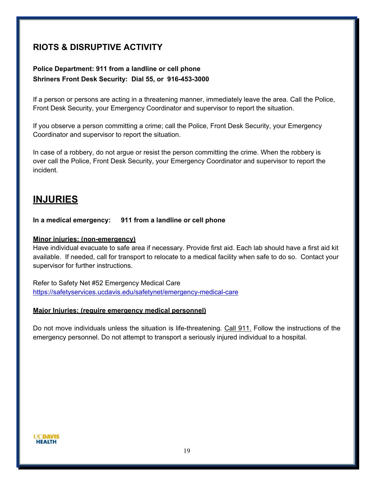### **RIOTS & DISRUPTIVE ACTIVITY**

#### **Police Department: 911 from a landline or cell phone Shriners Front Desk Security: Dial 55, or 916-453-3000**

If a person or persons are acting in a threatening manner, immediately leave the area. Call the Police, Front Desk Security, your Emergency Coordinator and supervisor to report the situation.

If you observe a person committing a crime; call the Police, Front Desk Security, your Emergency Coordinator and supervisor to report the situation.

In case of a robbery, do not argue or resist the person committing the crime. When the robbery is over call the Police, Front Desk Security, your Emergency Coordinator and supervisor to report the incident.

#### <span id="page-18-0"></span>**INJURIES**

**In a medical emergency: 911 from a landline or cell phone**

#### **Minor injuries: (non-emergency)**

Have individual evacuate to safe area if necessary. Provide first aid. Each lab should have a first aid kit available. If needed, call for transport to relocate to a medical facility when safe to do so. Contact your supervisor for further instructions.

Refer to Safety Net #52 Emergency Medical Care <https://safetyservices.ucdavis.edu/safetynet/emergency-medical-care>

#### **Major Injuries: (require emergency medical personnel)**

Do not move individuals unless the situation is life-threatening. Call 911. Follow the instructions of the emergency personnel. Do not attempt to transport a seriously injured individual to a hospital.

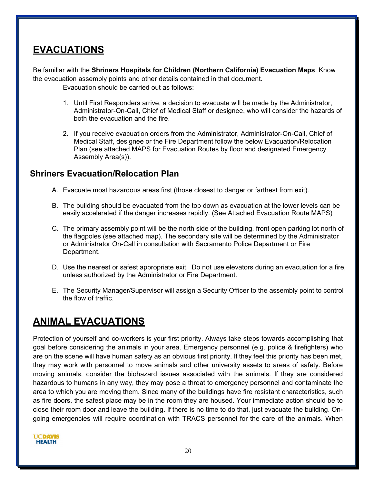## <span id="page-19-0"></span>**EVACUATIONS**

Be familiar with the **Shriners Hospitals for Children (Northern California) Evacuation Maps**. Know the evacuation assembly points and other details contained in that document. Evacuation should be carried out as follows:

- 1. Until First Responders arrive, a decision to evacuate will be made by the Administrator, Administrator-On-Call, Chief of Medical Staff or designee, who will consider the hazards of both the evacuation and the fire.
- 2. If you receive evacuation orders from the Administrator, Administrator-On-Call, Chief of Medical Staff, designee or the Fire Department follow the below Evacuation/Relocation Plan (see attached MAPS for Evacuation Routes by floor and designated Emergency Assembly Area(s)).

#### **Shriners Evacuation/Relocation Plan**

- A. Evacuate most hazardous areas first (those closest to danger or farthest from exit).
- B. The building should be evacuated from the top down as evacuation at the lower levels can be easily accelerated if the danger increases rapidly. (See Attached Evacuation Route MAPS)
- C. The primary assembly point will be the north side of the building, front open parking lot north of the flagpoles (see attached map). The secondary site will be determined by the Administrator or Administrator On-Call in consultation with Sacramento Police Department or Fire Department.
- D. Use the nearest or safest appropriate exit. Do not use elevators during an evacuation for a fire, unless authorized by the Administrator or Fire Department.
- E. The Security Manager/Supervisor will assign a Security Officer to the assembly point to control the flow of traffic.

## **ANIMAL EVACUATIONS**

Protection of yourself and co-workers is your first priority. Always take steps towards accomplishing that goal before considering the animals in your area. Emergency personnel (e.g. police & firefighters) who are on the scene will have human safety as an obvious first priority. If they feel this priority has been met, they may work with personnel to move animals and other university assets to areas of safety. Before moving animals, consider the biohazard issues associated with the animals. If they are considered hazardous to humans in any way, they may pose a threat to emergency personnel and contaminate the area to which you are moving them. Since many of the buildings have fire resistant characteristics, such as fire doors, the safest place may be in the room they are housed. Your immediate action should be to close their room door and leave the building. If there is no time to do that, just evacuate the building. Ongoing emergencies will require coordination with TRACS personnel for the care of the animals. When

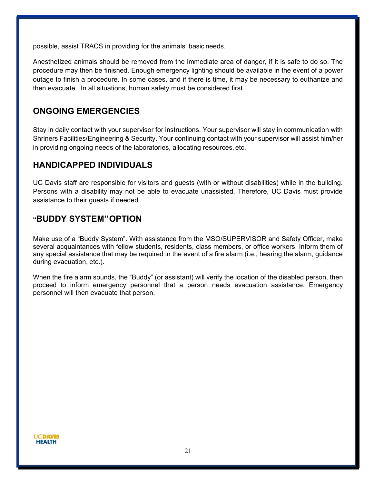possible, assist TRACS in providing for the animals' basic needs.

Anesthetized animals should be removed from the immediate area of danger, if it is safe to do so. The procedure may then be finished. Enough emergency lighting should be available in the event of a power outage to finish a procedure. In some cases, and if there is time, it may be necessary to euthanize and then evacuate. In all situations, human safety must be considered first.

#### **ONGOING EMERGENCIES**

Stay in daily contact with your supervisor for instructions. Your supervisor will stay in communication with Shriners Facilities/Engineering & Security. Your continuing contact with your supervisor will assist him/her in providing ongoing needs of the laboratories, allocating resources, etc.

#### **HANDICAPPED INDIVIDUALS**

UC Davis staff are responsible for visitors and guests (with or without disabilities) while in the building. Persons with a disability may not be able to evacuate unassisted. Therefore, UC Davis must provide assistance to their guests if needed.

#### **"BUDDY SYSTEM"OPTION**

Make use of a "Buddy System". With assistance from the MSO/SUPERVISOR and Safety Officer, make several acquaintances with fellow students, residents, class members, or office workers. Inform them of any special assistance that may be required in the event of a fire alarm (i.e., hearing the alarm, guidance during evacuation, etc.).

When the fire alarm sounds, the "Buddy" (or assistant) will verify the location of the disabled person, then proceed to inform emergency personnel that a person needs evacuation assistance. Emergency personnel will then evacuate that person.

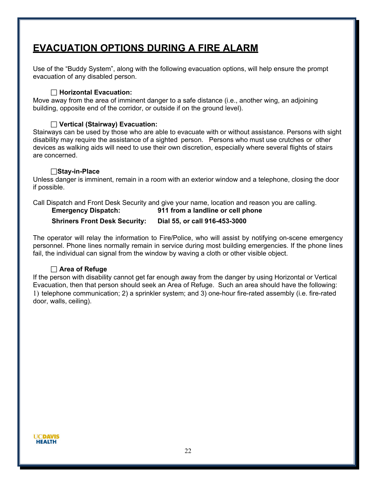## **EVACUATION OPTIONS DURING A FIRE ALARM**

Use of the "Buddy System", along with the following evacuation options, will help ensure the prompt evacuation of any disabled person.

#### **Horizontal Evacuation:**

Move away from the area of imminent danger to a safe distance (i.e., another wing, an adjoining building, opposite end of the corridor, or outside if on the ground level).

#### **Vertical (Stairway) Evacuation:**

Stairways can be used by those who are able to evacuate with or without assistance. Persons with sight disability may require the assistance of a sighted person. Persons who must use crutches or other devices as walking aids will need to use their own discretion, especially where several flights of stairs are concerned.

#### **Stay-in-Place**

Unless danger is imminent, remain in a room with an exterior window and a telephone, closing the door if possible.

Call Dispatch and Front Desk Security and give your name, location and reason you are calling.

 **Emergency Dispatch: 911 from a landline or cell phone**

#### **Shriners Front Desk Security: Dial 55, or call 916-453-3000**

The operator will relay the information to Fire/Police, who will assist by notifying on-scene emergency personnel. Phone lines normally remain in service during most building emergencies. If the phone lines fail, the individual can signal from the window by waving a cloth or other visible object.

#### **Area of Refuge**

If the person with disability cannot get far enough away from the danger by using Horizontal or Vertical Evacuation, then that person should seek an Area of Refuge. Such an area should have the following: 1) telephone communication; 2) a sprinkler system; and 3) one-hour fire-rated assembly (i.e. fire-rated door, walls, ceiling).

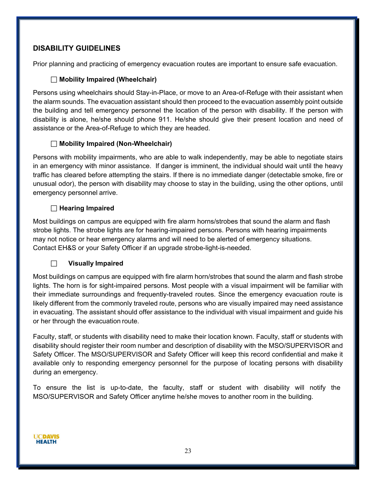#### **DISABILITY GUIDELINES**

Prior planning and practicing of emergency evacuation routes are important to ensure safe evacuation.

#### **Mobility Impaired (Wheelchair)**

Persons using wheelchairs should Stay-in-Place, or move to an Area-of-Refuge with their assistant when the alarm sounds. The evacuation assistant should then proceed to the evacuation assembly point outside the building and tell emergency personnel the location of the person with disability. If the person with disability is alone, he/she should phone 911. He/she should give their present location and need of assistance or the Area-of-Refuge to which they are headed.

#### **Mobility Impaired (Non-Wheelchair)**

Persons with mobility impairments, who are able to walk independently, may be able to negotiate stairs in an emergency with minor assistance. If danger is imminent, the individual should wait until the heavy traffic has cleared before attempting the stairs. If there is no immediate danger (detectable smoke, fire or unusual odor), the person with disability may choose to stay in the building, using the other options, until emergency personnel arrive.

#### **Hearing Impaired**

Most buildings on campus are equipped with fire alarm horns/strobes that sound the alarm and flash strobe lights. The strobe lights are for hearing-impaired persons. Persons with hearing impairments may not notice or hear emergency alarms and will need to be alerted of emergency situations. Contact EH&S or your Safety Officer if an upgrade strobe-light-is-needed.

#### **Visually Impaired**

Most buildings on campus are equipped with fire alarm horn/strobes that sound the alarm and flash strobe lights. The horn is for sight-impaired persons. Most people with a visual impairment will be familiar with their immediate surroundings and frequently-traveled routes. Since the emergency evacuation route is likely different from the commonly traveled route, persons who are visually impaired may need assistance in evacuating. The assistant should offer assistance to the individual with visual impairment and guide his or her through the evacuation route.

Faculty, staff, or students with disability need to make their location known. Faculty, staff or students with disability should register their room number and description of disability with the MSO/SUPERVISOR and Safety Officer. The MSO/SUPERVISOR and Safety Officer will keep this record confidential and make it available only to responding emergency personnel for the purpose of locating persons with disability during an emergency.

To ensure the list is up-to-date, the faculty, staff or student with disability will notify the MSO/SUPERVISOR and Safety Officer anytime he/she moves to another room in the building.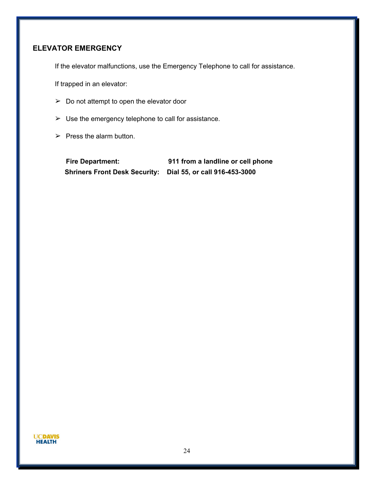#### **ELEVATOR EMERGENCY**

If the elevator malfunctions, use the Emergency Telephone to call for assistance.

If trapped in an elevator:

- $\geq$  Do not attempt to open the elevator door
- $\triangleright$  Use the emergency telephone to call for assistance.
- $\triangleright$  Press the alarm button.

**Fire Department: 911 from a landline or cell phone Shriners Front Desk Security: Dial 55, or call 916-453-3000**

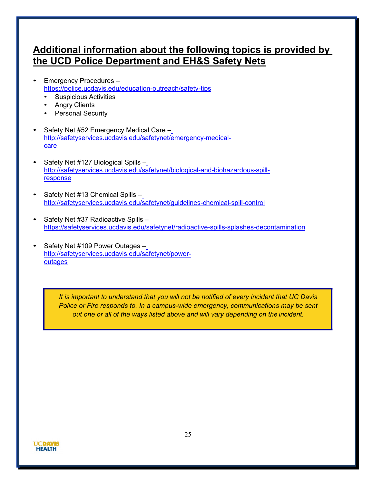## <span id="page-24-0"></span>**Additional information about the following topics is provided by the UCD Police Department and EH&S Safety Nets**

- Emergency Procedures <https://police.ucdavis.edu/education-outreach/safety-tips>
	- Suspicious Activities
	- **Angry Clients**
	- Personal Security
- Safety Net #52 Emergency Medical Care [http://safetyservices.ucdavis.edu/safetynet/emergency-medical](http://safetyservices.ucdavis.edu/safetynet/emergency-medical-care)[care](http://safetyservices.ucdavis.edu/safetynet/emergency-medical-care)
- Safety Net #127 Biological Spills [http://safetyservices.ucdavis.edu/safetynet/biological-and-biohazardous-spill](http://safetyservices.ucdavis.edu/safetynet/biological-and-biohazardous-spill-response)[response](http://safetyservices.ucdavis.edu/safetynet/biological-and-biohazardous-spill-response)
- Safety Net #13 Chemical Spills <http://safetyservices.ucdavis.edu/safetynet/guidelines-chemical-spill-control>
- Safety Net #37 Radioactive Spills <https://safetyservices.ucdavis.edu/safetynet/radioactive-spills-splashes-decontamination>
- Safety Net #109 Power Outages [http://safetyservices.ucdavis.edu/safetynet/power](http://safetyservices.ucdavis.edu/safetynet/power-outages)**[outages](http://safetyservices.ucdavis.edu/safetynet/power-outages)**

*It is important to understand that you will not be notified of every incident that UC Davis Police or Fire responds to. In a campus-wide emergency, communications may be sent out one or all of the ways listed above and will vary depending on the incident.*

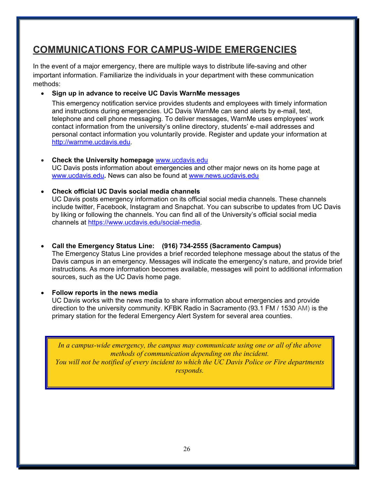## <span id="page-25-0"></span>**COMMUNICATIONS FOR CAMPUS-WIDE EMERGENCIES**

In the event of a major emergency, there are multiple ways to distribute life-saving and other important information. Familiarize the individuals in your department with these communication methods:

#### • **Sign up in advance to receive UC Davis WarnMe messages**

This emergency notification service provides students and employees with timely information and instructions during emergencies. UC Davis WarnMe can send alerts by e-mail, text, telephone and cell phone messaging. To deliver messages, WarnMe uses employees' work contact information from the university's online directory, students' e-mail addresses and personal contact information you voluntarily provide. Register and update your information at [http://warnme.ucdavis.edu.](http://warnme.ucdavis.edu/)

• **Check the University homepage** [www.ucdavis.edu](http://www.ucdavis.edu/) UC Davis posts information about emergencies and other major news on its home page at [www.ucdavis.edu](http://www.ucdavis.edu/)**.** News can also be found at [www.news.ucdavis.edu](http://www.news.ucdavis.edu/)

#### • **Check official UC Davis social media channels**

UC Davis posts emergency information on its official social media channels. These channels include twitter, Facebook, Instagram and Snapchat. You can subscribe to updates from UC Davis by liking or following the channels. You can find all of the University's official social media channels at [https://www.ucdavis.edu/social-media.](https://www.ucdavis.edu/social-media)

#### • **Call the Emergency Status Line: (916) 734-2555 (Sacramento Campus)**

The Emergency Status Line provides a brief recorded telephone message about the status of the Davis campus in an emergency. Messages will indicate the emergency's nature, and provide brief instructions. As more information becomes available, messages will point to additional information sources, such as the UC Davis home page.

#### • **Follow reports in the news media**

UC Davis works with the news media to share information about emergencies and provide direction to the university community. KFBK Radio in Sacramento (93.1 FM / 1530 AM) is the primary station for the federal Emergency Alert System for several area counties.

*In a campus-wide emergency, the campus may communicate using one or all of the above methods of communication depending on the incident. You will not be notified of every incident to which the UC Davis Police or Fire departments responds.*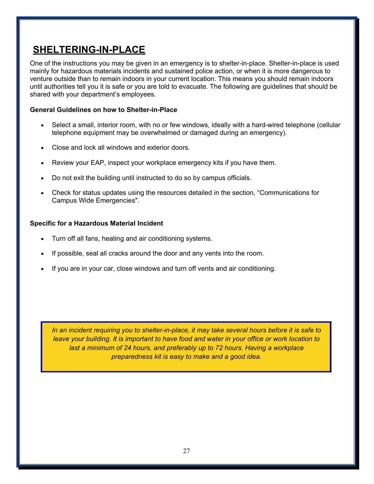## <span id="page-26-0"></span>**SHELTERING-IN-PLACE**

One of the instructions you may be given in an emergency is to shelter-in-place. Shelter-in-place is used mainly for hazardous materials incidents and sustained police action, or when it is more dangerous to venture outside than to remain indoors in your current location. This means you should remain indoors until authorities tell you it is safe or you are told to evacuate. The following are guidelines that should be shared with your department's employees.

#### **General Guidelines on how to Shelter-in-Place**

- Select a small, interior room, with no or few windows, ideally with a hard-wired telephone (cellular telephone equipment may be overwhelmed or damaged during an emergency).
- Close and lock all windows and exterior doors.
- Review your EAP, inspect your workplace emergency kits if you have them.
- Do not exit the building until instructed to do so by campus officials.
- Check for status updates using the resources detailed in the section, "Communications for Campus Wide Emergencies".

#### **Specific for a Hazardous Material Incident**

- Turn off all fans, heating and air conditioning systems.
- If possible, seal all cracks around the door and any vents into the room.
- If you are in your car, close windows and turn off vents and air conditioning.

*In an incident requiring you to shelter-in-place, it may take several hours before it is safe to leave your building. It is important to have food and water in your office or work location to*  last a minimum of 24 hours, and preferably up to 72 hours. Having a workplace *preparedness kit is easy to make and a good idea.*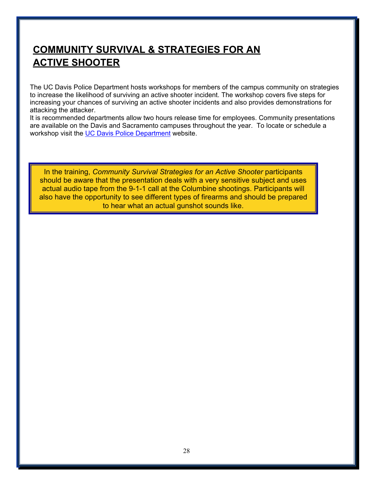## <span id="page-27-0"></span>**COMMUNITY SURVIVAL & STRATEGIES FOR AN ACTIVE SHOOTER**

The UC Davis Police Department hosts workshops for members of the campus community on strategies to increase the likelihood of surviving an active shooter incident. The workshop covers five steps for increasing your chances of surviving an active shooter incidents and also provides demonstrations for attacking the attacker.

It is recommended departments allow two hours release time for employees. Community presentations are available on the Davis and Sacramento campuses throughout the year. To locate or schedule a workshop visit the [UC Davis Police Department](https://police.ucdavis.edu/education-outreach/active-shooter-survival-workshop) website.

In the training, *Community Survival Strategies for an Active Shooter* participants should be aware that the presentation deals with a very sensitive subject and uses actual audio tape from the 9-1-1 call at the Columbine shootings. Participants will also have the opportunity to see different types of firearms and should be prepared to hear what an actual gunshot sounds like.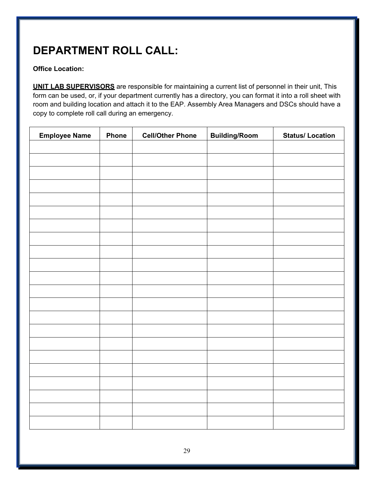## **DEPARTMENT ROLL CALL:**

#### **Office Location:**

**UNIT LAB SUPERVISORS** are responsible for maintaining a current list of personnel in their unit, This form can be used, or, if your department currently has a directory, you can format it into a roll sheet with room and building location and attach it to the EAP. Assembly Area Managers and DSCs should have a copy to complete roll call during an emergency.

| <b>Employee Name</b> | Phone | <b>Cell/Other Phone</b> | <b>Building/Room</b> | <b>Status/Location</b> |
|----------------------|-------|-------------------------|----------------------|------------------------|
|                      |       |                         |                      |                        |
|                      |       |                         |                      |                        |
|                      |       |                         |                      |                        |
|                      |       |                         |                      |                        |
|                      |       |                         |                      |                        |
|                      |       |                         |                      |                        |
|                      |       |                         |                      |                        |
|                      |       |                         |                      |                        |
|                      |       |                         |                      |                        |
|                      |       |                         |                      |                        |
|                      |       |                         |                      |                        |
|                      |       |                         |                      |                        |
|                      |       |                         |                      |                        |
|                      |       |                         |                      |                        |
|                      |       |                         |                      |                        |
|                      |       |                         |                      |                        |
|                      |       |                         |                      |                        |
|                      |       |                         |                      |                        |
|                      |       |                         |                      |                        |
|                      |       |                         |                      |                        |
|                      |       |                         |                      |                        |
|                      |       |                         |                      |                        |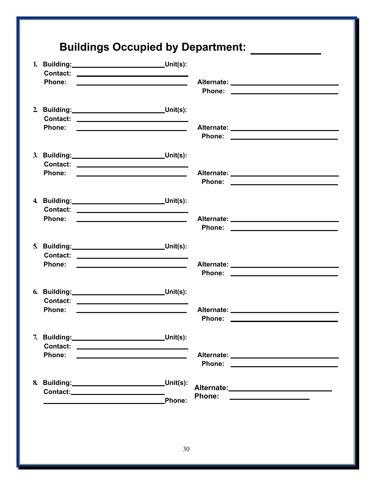|                                                           | 1. Building: Unit(s):<br>Contact: _____________________________                                                        |                                                                                                                                       |  |
|-----------------------------------------------------------|------------------------------------------------------------------------------------------------------------------------|---------------------------------------------------------------------------------------------------------------------------------------|--|
|                                                           |                                                                                                                        | Alternate: _________________________________                                                                                          |  |
| 2. Building: Unit(s):                                     |                                                                                                                        |                                                                                                                                       |  |
|                                                           |                                                                                                                        |                                                                                                                                       |  |
| 3. Building: Unit(s):                                     | Contact: ________________________________                                                                              |                                                                                                                                       |  |
| Phone:                                                    | <u> Albany a Company and State and State and State and State and State and State and State and State and State and</u> | Alternate: _________________________________                                                                                          |  |
| 4. Building: Unit(s):                                     |                                                                                                                        |                                                                                                                                       |  |
|                                                           |                                                                                                                        |                                                                                                                                       |  |
| 5. Building: Unit(s):                                     | Contact: _________________________________                                                                             |                                                                                                                                       |  |
| <b>Phone:</b>                                             | <u> Alexander (Alexander Company) et al.</u>                                                                           |                                                                                                                                       |  |
| 6. Building: Unit(s):                                     |                                                                                                                        |                                                                                                                                       |  |
| Phone:                                                    | <u> 1980 - Johann Barnett, fransk kongresu</u>                                                                         |                                                                                                                                       |  |
| 7. Building: Unit(s):                                     |                                                                                                                        |                                                                                                                                       |  |
| <b>Phone:</b>                                             |                                                                                                                        | Alternate: __________________________________                                                                                         |  |
| 8. Building: Unit(s):                                     |                                                                                                                        |                                                                                                                                       |  |
| <u> 1989 - Johann Barnett, fransk politiker (d. 1989)</u> | Phone:                                                                                                                 | <b>Phone:</b><br><u> Alexandria de la contrada de la contrada de la contrada de la contrada de la contrada de la contrada de la c</u> |  |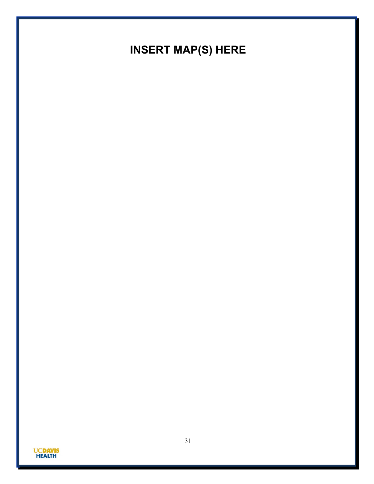## **INSERT MAP(S) HERE**